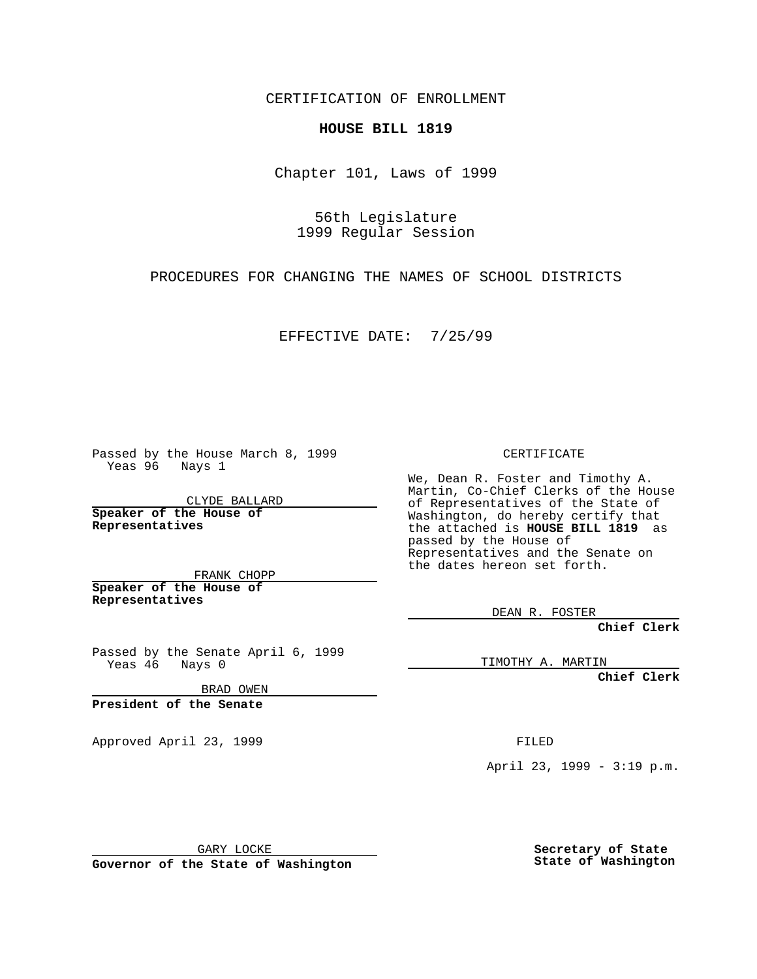CERTIFICATION OF ENROLLMENT

## **HOUSE BILL 1819**

Chapter 101, Laws of 1999

56th Legislature 1999 Regular Session

PROCEDURES FOR CHANGING THE NAMES OF SCHOOL DISTRICTS

EFFECTIVE DATE: 7/25/99

Passed by the House March 8, 1999 Yeas 96 Nays 1

CLYDE BALLARD **Speaker of the House of Representatives**

FRANK CHOPP **Speaker of the House of Representatives**

Passed by the Senate April 6, 1999<br>Yeas 46 Nays 0 Nays 0

BRAD OWEN

**President of the Senate**

Approved April 23, 1999 FILED

CERTIFICATE

We, Dean R. Foster and Timothy A. Martin, Co-Chief Clerks of the House of Representatives of the State of Washington, do hereby certify that the attached is **HOUSE BILL 1819** as passed by the House of Representatives and the Senate on the dates hereon set forth.

DEAN R. FOSTER

**Chief Clerk**

TIMOTHY A. MARTIN

**Chief Clerk**

April 23, 1999 - 3:19 p.m.

GARY LOCKE

**Governor of the State of Washington**

**Secretary of State State of Washington**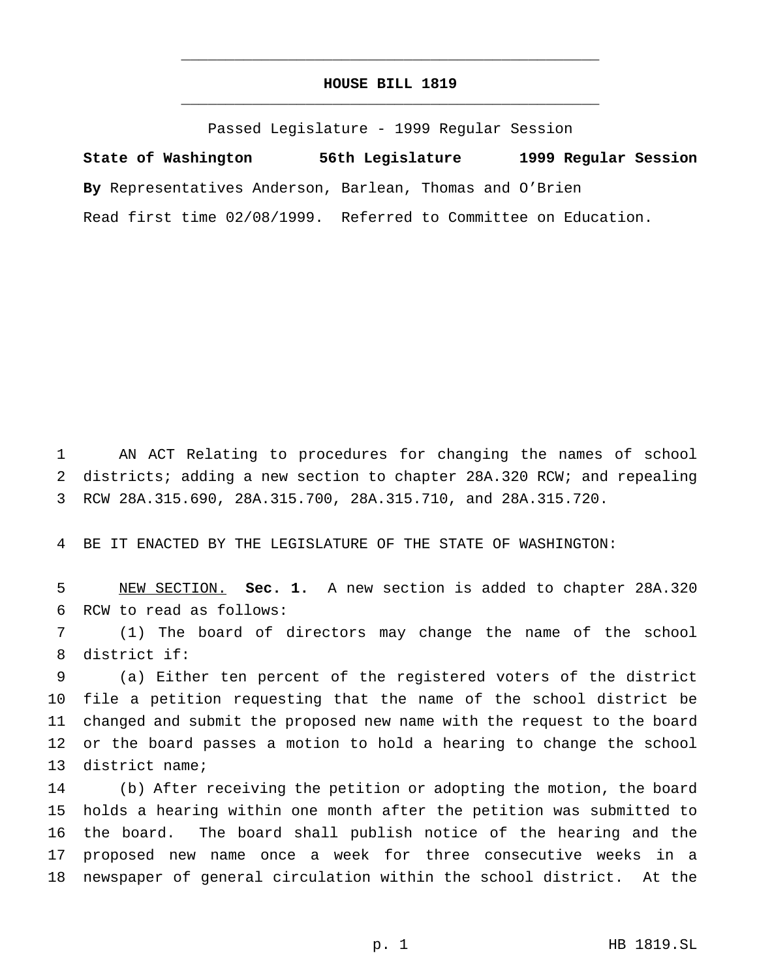## **HOUSE BILL 1819** \_\_\_\_\_\_\_\_\_\_\_\_\_\_\_\_\_\_\_\_\_\_\_\_\_\_\_\_\_\_\_\_\_\_\_\_\_\_\_\_\_\_\_\_\_\_\_

\_\_\_\_\_\_\_\_\_\_\_\_\_\_\_\_\_\_\_\_\_\_\_\_\_\_\_\_\_\_\_\_\_\_\_\_\_\_\_\_\_\_\_\_\_\_\_

Passed Legislature - 1999 Regular Session

**State of Washington 56th Legislature 1999 Regular Session By** Representatives Anderson, Barlean, Thomas and O'Brien Read first time 02/08/1999. Referred to Committee on Education.

 AN ACT Relating to procedures for changing the names of school districts; adding a new section to chapter 28A.320 RCW; and repealing RCW 28A.315.690, 28A.315.700, 28A.315.710, and 28A.315.720.

BE IT ENACTED BY THE LEGISLATURE OF THE STATE OF WASHINGTON:

 NEW SECTION. **Sec. 1.** A new section is added to chapter 28A.320 RCW to read as follows:

 (1) The board of directors may change the name of the school district if:

 (a) Either ten percent of the registered voters of the district file a petition requesting that the name of the school district be changed and submit the proposed new name with the request to the board or the board passes a motion to hold a hearing to change the school district name;

 (b) After receiving the petition or adopting the motion, the board holds a hearing within one month after the petition was submitted to the board. The board shall publish notice of the hearing and the proposed new name once a week for three consecutive weeks in a newspaper of general circulation within the school district. At the